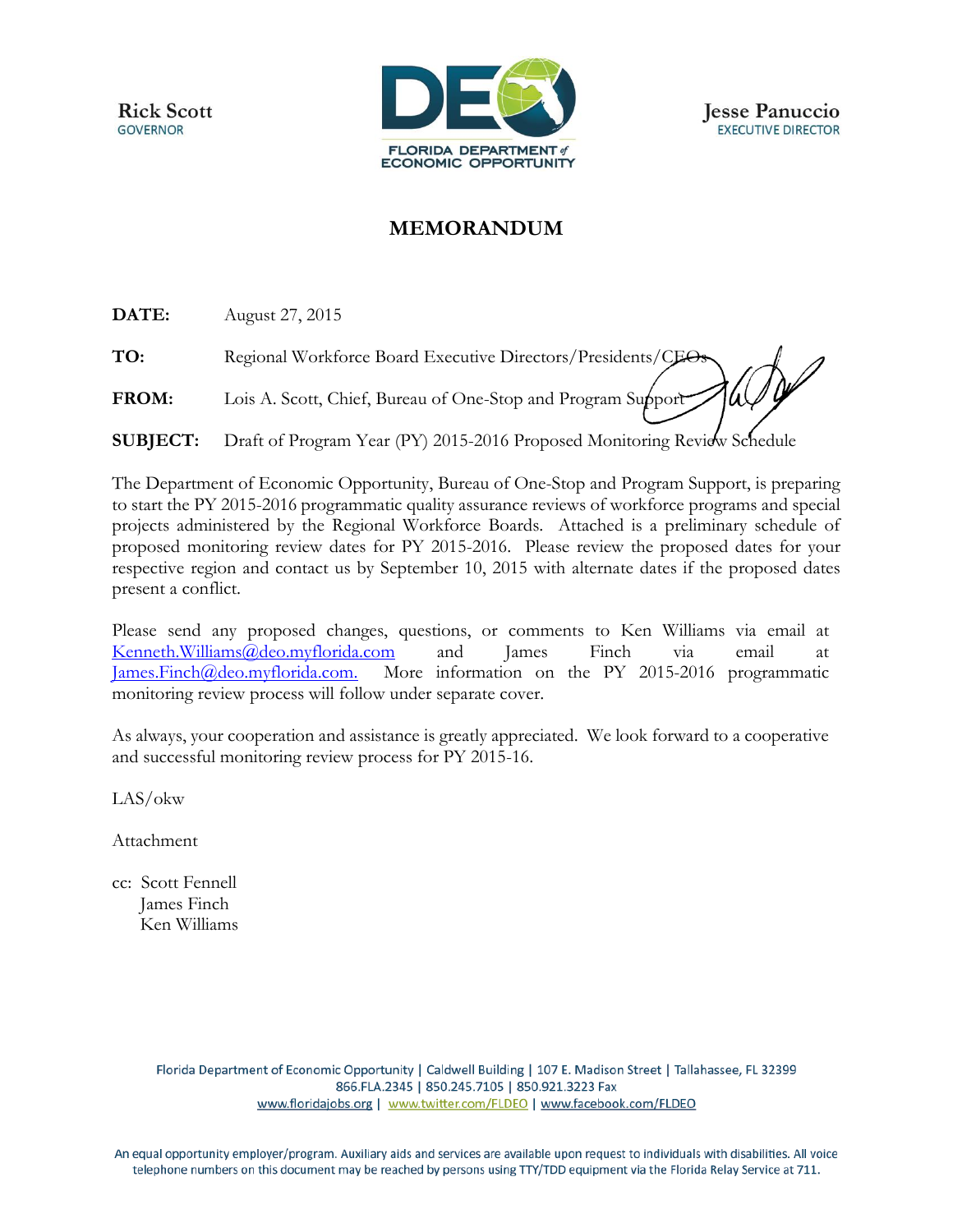

## **MEMORANDUM**

**DATE:** August 27, 2015

**TO:** Regional Workforce Board Executive Directors/Presidents/CEOs FROM: Lois A. Scott, Chief, Bureau of One-Stop and Program Support

**SUBJECT:** Draft of Program Year (PY) 2015-2016 Proposed Monitoring Review Schedule

The Department of Economic Opportunity, Bureau of One-Stop and Program Support, is preparing to start the PY 2015-2016 programmatic quality assurance reviews of workforce programs and special projects administered by the Regional Workforce Boards. Attached is a preliminary schedule of proposed monitoring review dates for PY 2015-2016. Please review the proposed dates for your respective region and contact us by September 10, 2015 with alternate dates if the proposed dates present a conflict.

Please send any proposed changes, questions, or comments to Ken Williams via email at [Kenneth.Williams@deo.myflorida.com](mailto:Kenneth.Williams@deo.myflorida.com) and James Finch via email at [James.Finch@deo.myflorida.com.](mailto:James.Finch@deo.myflorida.com) More information on the PY 2015-2016 programmatic monitoring review process will follow under separate cover.

As always, your cooperation and assistance is greatly appreciated. We look forward to a cooperative and successful monitoring review process for PY 2015-16.

LAS/okw

Attachment

cc: Scott Fennell James Finch Ken Williams

> Florida Department of Economic Opportunity | Caldwell Building | 107 E. Madison Street | Tallahassee, FL 32399 866.FLA.2345 | 850.245.7105 | 850.921.3223 Fax www.floridajobs.org | www.twitter.com/FLDEO | www.facebook.com/FLDEO

An equal opportunity employer/program. Auxiliary aids and services are available upon request to individuals with disabilities. All voice telephone numbers on this document may be reached by persons using TTY/TDD equipment via the Florida Relay Service at 711.